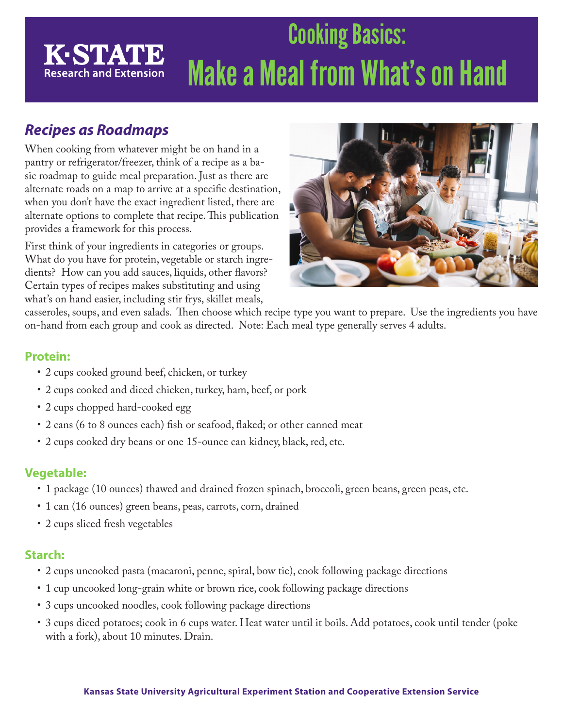# Cooking Basics: **K-STATE** Make a Meal from What's on Hand **Research and Extension**

## *Recipes as Roadmaps*

When cooking from whatever might be on hand in a pantry or refrigerator/freezer, think of a recipe as a basic roadmap to guide meal preparation. Just as there are alternate roads on a map to arrive at a specific destination, when you don't have the exact ingredient listed, there are alternate options to complete that recipe. This publication provides a framework for this process.

First think of your ingredients in categories or groups. What do you have for protein, vegetable or starch ingredients? How can you add sauces, liquids, other flavors? Certain types of recipes makes substituting and using what's on hand easier, including stir frys, skillet meals,



casseroles, soups, and even salads. Then choose which recipe type you want to prepare. Use the ingredients you have on-hand from each group and cook as directed. Note: Each meal type generally serves 4 adults.

#### **Protein:**

- 2 cups cooked ground beef, chicken, or turkey
- 2 cups cooked and diced chicken, turkey, ham, beef, or pork
- 2 cups chopped hard-cooked egg
- 2 cans (6 to 8 ounces each) fish or seafood, flaked; or other canned meat
- 2 cups cooked dry beans or one 15-ounce can kidney, black, red, etc.

#### **Vegetable:**

- 1 package (10 ounces) thawed and drained frozen spinach, broccoli, green beans, green peas, etc.
- 1 can (16 ounces) green beans, peas, carrots, corn, drained
- 2 cups sliced fresh vegetables

#### **Starch:**

- 2 cups uncooked pasta (macaroni, penne, spiral, bow tie), cook following package directions
- 1 cup uncooked long-grain white or brown rice, cook following package directions
- 3 cups uncooked noodles, cook following package directions
- 3 cups diced potatoes; cook in 6 cups water. Heat water until it boils. Add potatoes, cook until tender (poke with a fork), about 10 minutes. Drain.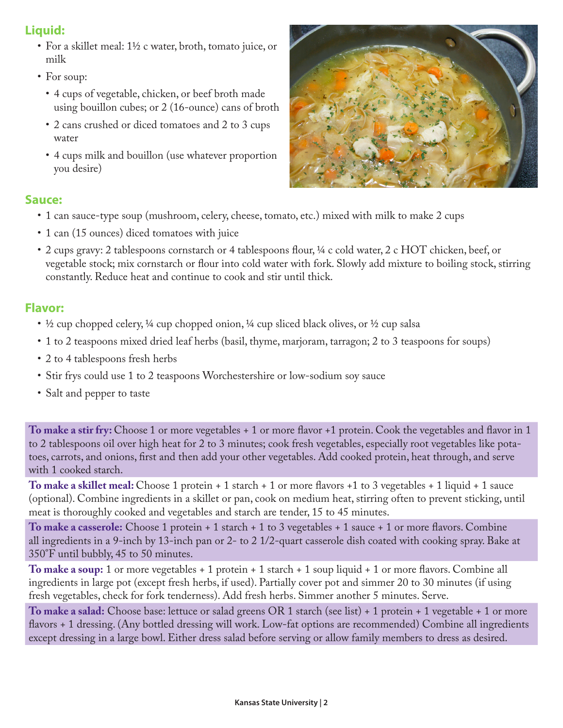### **Liquid:**

- For a skillet meal: 1½ c water, broth, tomato juice, or milk
- For soup:
	- 4 cups of vegetable, chicken, or beef broth made using bouillon cubes; or 2 (16-ounce) cans of broth
	- 2 cans crushed or diced tomatoes and 2 to 3 cups water
	- 4 cups milk and bouillon (use whatever proportion you desire)



#### **Sauce:**

- 1 can sauce-type soup (mushroom, celery, cheese, tomato, etc.) mixed with milk to make 2 cups
- 1 can (15 ounces) diced tomatoes with juice
- 2 cups gravy: 2 tablespoons cornstarch or 4 tablespoons flour, ¼ c cold water, 2 c HOT chicken, beef, or vegetable stock; mix cornstarch or flour into cold water with fork. Slowly add mixture to boiling stock, stirring constantly. Reduce heat and continue to cook and stir until thick.

#### **Flavor:**

- $\frac{1}{2}$  cup chopped celery,  $\frac{1}{4}$  cup chopped onion,  $\frac{1}{4}$  cup sliced black olives, or  $\frac{1}{2}$  cup salsa
- 1 to 2 teaspoons mixed dried leaf herbs (basil, thyme, marjoram, tarragon; 2 to 3 teaspoons for soups)
- 2 to 4 tablespoons fresh herbs
- Stir frys could use 1 to 2 teaspoons Worchestershire or low-sodium soy sauce
- Salt and pepper to taste

**To make a stir fry:** Choose 1 or more vegetables + 1 or more flavor +1 protein. Cook the vegetables and flavor in 1 to 2 tablespoons oil over high heat for 2 to 3 minutes; cook fresh vegetables, especially root vegetables like potatoes, carrots, and onions, first and then add your other vegetables. Add cooked protein, heat through, and serve with 1 cooked starch.

**To make a skillet meal:** Choose 1 protein + 1 starch + 1 or more flavors +1 to 3 vegetables + 1 liquid + 1 sauce (optional). Combine ingredients in a skillet or pan, cook on medium heat, stirring often to prevent sticking, until meat is thoroughly cooked and vegetables and starch are tender, 15 to 45 minutes.

**To make a casserole:** Choose 1 protein + 1 starch + 1 to 3 vegetables + 1 sauce + 1 or more flavors. Combine all ingredients in a 9-inch by 13-inch pan or 2- to 2 1/2-quart casserole dish coated with cooking spray. Bake at 350°F until bubbly, 45 to 50 minutes.

**To make a soup:** 1 or more vegetables + 1 protein + 1 starch + 1 soup liquid + 1 or more flavors. Combine all ingredients in large pot (except fresh herbs, if used). Partially cover pot and simmer 20 to 30 minutes (if using fresh vegetables, check for fork tenderness). Add fresh herbs. Simmer another 5 minutes. Serve.

**To make a salad:** Choose base: lettuce or salad greens OR 1 starch (see list) + 1 protein + 1 vegetable + 1 or more flavors + 1 dressing. (Any bottled dressing will work. Low-fat options are recommended) Combine all ingredients except dressing in a large bowl. Either dress salad before serving or allow family members to dress as desired.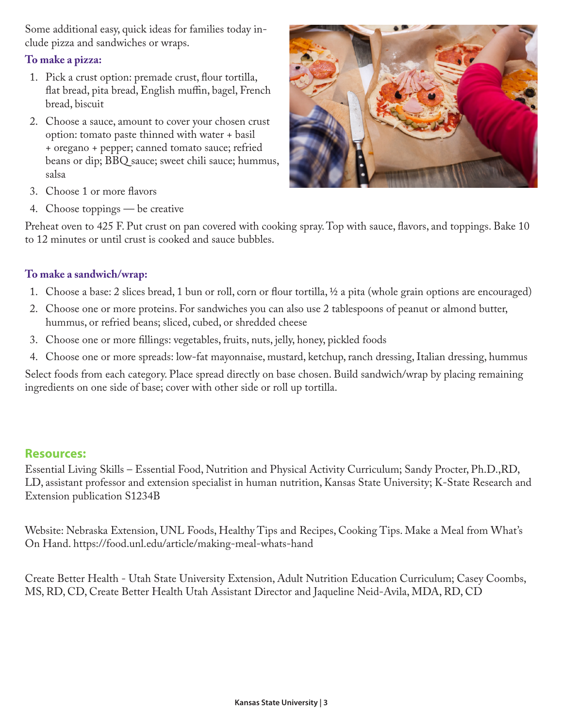Some additional easy, quick ideas for families today include pizza and sandwiches or wraps.

#### **To make a pizza:**

- 1. Pick a crust option: premade crust, flour tortilla, flat bread, pita bread, English muffin, bagel, French bread, biscuit
- 2. Choose a sauce, amount to cover your chosen crust option: tomato paste thinned with water + basil + oregano + pepper; canned tomato sauce; refried beans or dip; BBQ sauce; sweet chili sauce; hummus, salsa



- 3. Choose 1 or more flavors
- 4. Choose toppings be creative

Preheat oven to 425 F. Put crust on pan covered with cooking spray. Top with sauce, flavors, and toppings. Bake 10 to 12 minutes or until crust is cooked and sauce bubbles.

#### **To make a sandwich/wrap:**

- 1. Choose a base: 2 slices bread, 1 bun or roll, corn or flour tortilla, ½ a pita (whole grain options are encouraged)
- 2. Choose one or more proteins. For sandwiches you can also use 2 tablespoons of peanut or almond butter, hummus, or refried beans; sliced, cubed, or shredded cheese
- 3. Choose one or more fillings: vegetables, fruits, nuts, jelly, honey, pickled foods
- 4. Choose one or more spreads: low-fat mayonnaise, mustard, ketchup, ranch dressing, Italian dressing, hummus

Select foods from each category. Place spread directly on base chosen. Build sandwich/wrap by placing remaining ingredients on one side of base; cover with other side or roll up tortilla.

#### **Resources:**

Essential Living Skills – Essential Food, Nutrition and Physical Activity Curriculum; Sandy Procter, Ph.D.,RD, LD, assistant professor and extension specialist in human nutrition, Kansas State University; K-State Research and Extension publication S1234B

Website: Nebraska Extension, UNL Foods, Healthy Tips and Recipes, Cooking Tips. Make a Meal from What's On Hand. https://food.unl.edu/article/making-meal-whats-hand

Create Better Health - Utah State University Extension, Adult Nutrition Education Curriculum; Casey Coombs, MS, RD, CD, Create Better Health Utah Assistant Director and Jaqueline Neid-Avila, MDA, RD, CD